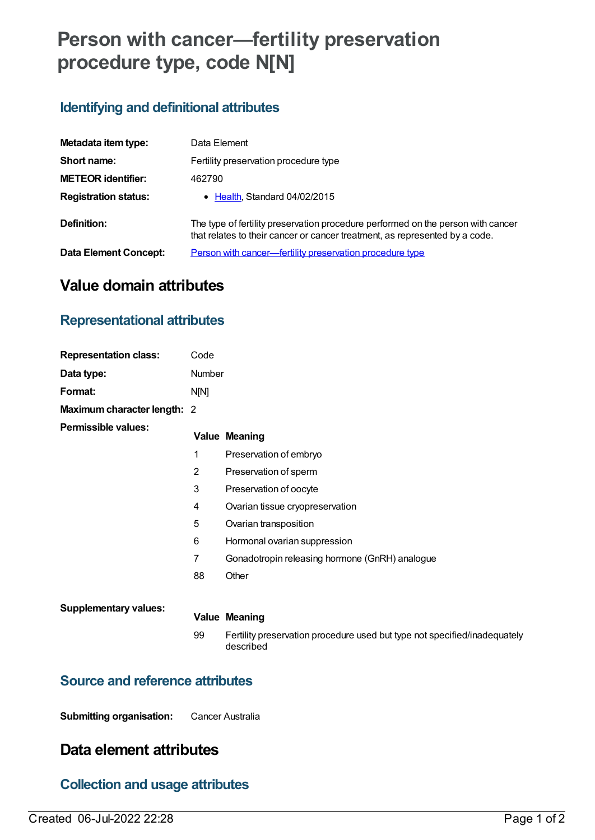# **Person with cancer—fertility preservation procedure type, code N[N]**

## **Identifying and definitional attributes**

| Metadata item type:          | Data Element                                                                                                                                                    |  |
|------------------------------|-----------------------------------------------------------------------------------------------------------------------------------------------------------------|--|
| Short name:                  | Fertility preservation procedure type                                                                                                                           |  |
| <b>METEOR identifier:</b>    | 462790                                                                                                                                                          |  |
| <b>Registration status:</b>  | • Health, Standard 04/02/2015                                                                                                                                   |  |
| Definition:                  | The type of fertility preservation procedure performed on the person with cancer<br>that relates to their cancer or cancer treatment, as represented by a code. |  |
| <b>Data Element Concept:</b> | Person with cancer—fertility preservation procedure type                                                                                                        |  |

# **Value domain attributes**

## **Representational attributes**

| <b>Representation class:</b> | Code           |                                                                                        |
|------------------------------|----------------|----------------------------------------------------------------------------------------|
| Data type:                   | Number         |                                                                                        |
| Format:                      | N[N]           |                                                                                        |
| Maximum character length: 2  |                |                                                                                        |
| <b>Permissible values:</b>   |                | <b>Value Meaning</b>                                                                   |
|                              | 1              | Preservation of embryo                                                                 |
|                              | $\overline{2}$ | Preservation of sperm                                                                  |
|                              | 3              | Preservation of oocyte                                                                 |
|                              | 4              | Ovarian tissue cryopreservation                                                        |
|                              | 5              | Ovarian transposition                                                                  |
|                              | 6              | Hormonal ovarian suppression                                                           |
|                              | 7              | Gonadotropin releasing hormone (GnRH) analogue                                         |
|                              | 88             | Other                                                                                  |
| <b>Supplementary values:</b> |                |                                                                                        |
|                              |                | <b>Value Meaning</b>                                                                   |
|                              | 99             | Fertility preservation procedure used but type not specified/inadequately<br>described |
|                              |                |                                                                                        |

## **Source and reference attributes**

**Submitting organisation:** Cancer Australia

# **Data element attributes**

## **Collection and usage attributes**